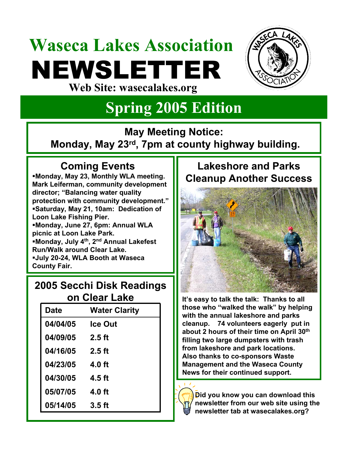## **Waseca Lakes Association** NEWSLETTER **Web Site: wasecalakes.org**



## **Spring 2005 Edition**

**May Meeting Notice:** 

**Monday, May 23rd, 7pm at county highway building.**

### **Coming Events**

**Monday, May 23, Monthly WLA meeting. Mark Leiferman, community development director; "Balancing water quality protection with community development." Saturday, May 21, 10am: Dedication of Loon Lake Fishing Pier. Monday, June 27, 6pm: Annual WLA picnic at Loon Lake Park. Monday, July 4th, 2nd Annual Lakefest Run/Walk around Clear Lake. July 20-24, WLA Booth at Waseca County Fair.**

#### **2005 Secchi Disk Readings on Clear Lake**

| <b>Date</b> | <b>Water Clarity</b> |
|-------------|----------------------|
| 04/04/05    | Ice Out              |
| 04/09/05    | $2.5$ ft             |
| 04/16/05    | $2.5$ ft             |
| 04/23/05    | 4.0 ft               |
| 04/30/05    | 4.5 ft               |
| 05/07/05    | 4.0 ft               |
| 05/14/05    | $3.5$ ft             |

### **Lakeshore and Parks Cleanup Another Success**



**It's easy to talk the talk: Thanks to all those who "walked the walk" by helping with the annual lakeshore and parks cleanup. 74 volunteers eagerly put in about 2 hours of their time on April 30th filling two large dumpsters with trash from lakeshore and park locations. Also thanks to co-sponsors Waste Management and the Waseca County News for their continued support.**



**Did you know you can download this newsletter from our web site using the newsletter tab at wasecalakes.org?**